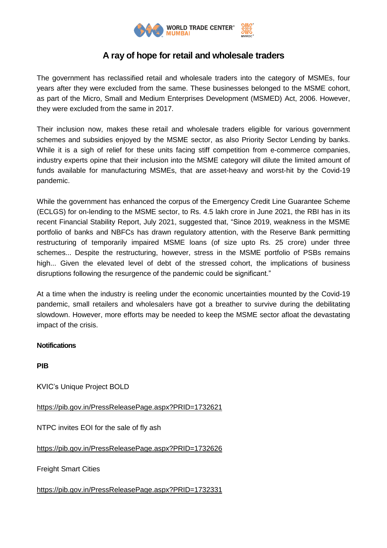

## **A ray of hope for retail and wholesale traders**

The government has reclassified retail and wholesale traders into the category of MSMEs, four years after they were excluded from the same. These businesses belonged to the MSME cohort, as part of the Micro, Small and Medium Enterprises Development (MSMED) Act, 2006. However, they were excluded from the same in 2017.

Their inclusion now, makes these retail and wholesale traders eligible for various government schemes and subsidies enjoyed by the MSME sector, as also Priority Sector Lending by banks. While it is a sigh of relief for these units facing stiff competition from e-commerce companies, industry experts opine that their inclusion into the MSME category will dilute the limited amount of funds available for manufacturing MSMEs, that are asset-heavy and worst-hit by the Covid-19 pandemic.

While the government has enhanced the corpus of the Emergency Credit Line Guarantee Scheme (ECLGS) for on-lending to the MSME sector, to Rs. 4.5 lakh crore in June 2021, the RBI has in its recent Financial Stability Report, July 2021, suggested that, "Since 2019, weakness in the MSME portfolio of banks and NBFCs has drawn regulatory attention, with the Reserve Bank permitting restructuring of temporarily impaired MSME loans (of size upto Rs. 25 crore) under three schemes... Despite the restructuring, however, stress in the MSME portfolio of PSBs remains high... Given the elevated level of debt of the stressed cohort, the implications of business disruptions following the resurgence of the pandemic could be significant."

At a time when the industry is reeling under the economic uncertainties mounted by the Covid-19 pandemic, small retailers and wholesalers have got a breather to survive during the debilitating slowdown. However, more efforts may be needed to keep the MSME sector afloat the devastating impact of the crisis.

## **Notifications**

**PIB**

KVIC's Unique Project BOLD

<https://pib.gov.in/PressReleasePage.aspx?PRID=1732621>

NTPC invites EOI for the sale of fly ash

<https://pib.gov.in/PressReleasePage.aspx?PRID=1732626>

**Freight Smart Cities** 

<https://pib.gov.in/PressReleasePage.aspx?PRID=1732331>